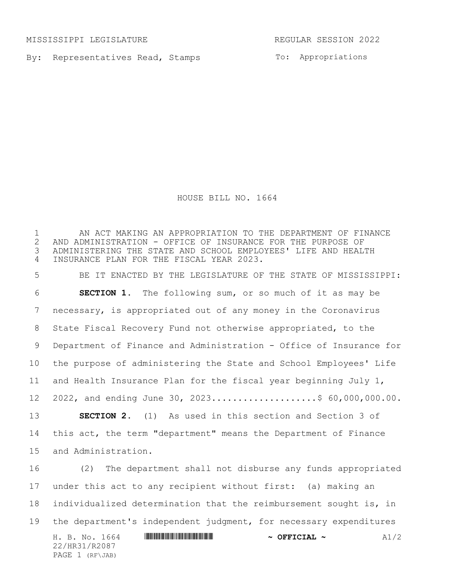MISSISSIPPI LEGISLATURE REGULAR SESSION 2022

By: Representatives Read, Stamps

To: Appropriations

HOUSE BILL NO. 1664

H. B. No. 1664 **\*\*\* And a set of the set of the set of the set of the set of the set of the set of the set of the set of the set of the set of the set of the set of the set of the set of the set of the set of the set of th** 22/HR31/R2087 PAGE 1 (RF\JAB) AN ACT MAKING AN APPROPRIATION TO THE DEPARTMENT OF FINANCE 2 AND ADMINISTRATION - OFFICE OF INSURANCE FOR THE PURPOSE OF<br>3 ADMINISTERING THE STATE AND SCHOOL EMPLOYEES' LIFE AND HEAL' ADMINISTERING THE STATE AND SCHOOL EMPLOYEES' LIFE AND HEALTH INSURANCE PLAN FOR THE FISCAL YEAR 2023. BE IT ENACTED BY THE LEGISLATURE OF THE STATE OF MISSISSIPPI: **SECTION 1.** The following sum, or so much of it as may be necessary, is appropriated out of any money in the Coronavirus State Fiscal Recovery Fund not otherwise appropriated, to the Department of Finance and Administration - Office of Insurance for the purpose of administering the State and School Employees' Life and Health Insurance Plan for the fiscal year beginning July 1, 12 2022, and ending June 30, 2023.....................\$ 60,000,000.00. **SECTION 2.** (1) As used in this section and Section 3 of this act, the term "department" means the Department of Finance and Administration. 16 (2) The department shall not disburse any funds appropriated under this act to any recipient without first: (a) making an individualized determination that the reimbursement sought is, in the department's independent judgment, for necessary expenditures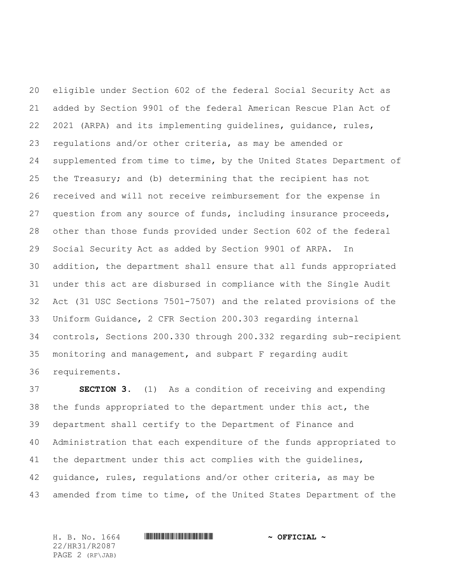eligible under Section 602 of the federal Social Security Act as added by Section 9901 of the federal American Rescue Plan Act of 2021 (ARPA) and its implementing guidelines, guidance, rules, regulations and/or other criteria, as may be amended or supplemented from time to time, by the United States Department of the Treasury; and (b) determining that the recipient has not received and will not receive reimbursement for the expense in question from any source of funds, including insurance proceeds, other than those funds provided under Section 602 of the federal Social Security Act as added by Section 9901 of ARPA. In addition, the department shall ensure that all funds appropriated under this act are disbursed in compliance with the Single Audit Act (31 USC Sections 7501-7507) and the related provisions of the Uniform Guidance, 2 CFR Section 200.303 regarding internal controls, Sections 200.330 through 200.332 regarding sub-recipient monitoring and management, and subpart F regarding audit requirements.

 **SECTION 3.** (1) As a condition of receiving and expending the funds appropriated to the department under this act, the department shall certify to the Department of Finance and Administration that each expenditure of the funds appropriated to the department under this act complies with the guidelines, guidance, rules, regulations and/or other criteria, as may be amended from time to time, of the United States Department of the

22/HR31/R2087 PAGE 2 (RF\JAB)

## H. B. No. 1664 \*HR31/R2087\* **~ OFFICIAL ~**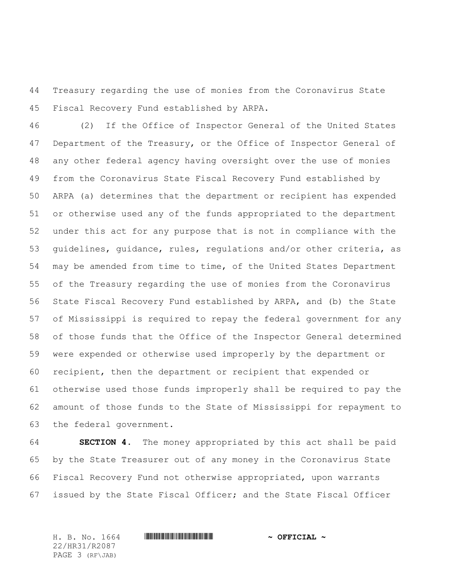Treasury regarding the use of monies from the Coronavirus State Fiscal Recovery Fund established by ARPA.

 (2) If the Office of Inspector General of the United States Department of the Treasury, or the Office of Inspector General of any other federal agency having oversight over the use of monies from the Coronavirus State Fiscal Recovery Fund established by ARPA (a) determines that the department or recipient has expended or otherwise used any of the funds appropriated to the department under this act for any purpose that is not in compliance with the guidelines, guidance, rules, regulations and/or other criteria, as may be amended from time to time, of the United States Department of the Treasury regarding the use of monies from the Coronavirus State Fiscal Recovery Fund established by ARPA, and (b) the State of Mississippi is required to repay the federal government for any of those funds that the Office of the Inspector General determined were expended or otherwise used improperly by the department or recipient, then the department or recipient that expended or otherwise used those funds improperly shall be required to pay the amount of those funds to the State of Mississippi for repayment to the federal government.

 **SECTION 4.** The money appropriated by this act shall be paid by the State Treasurer out of any money in the Coronavirus State Fiscal Recovery Fund not otherwise appropriated, upon warrants issued by the State Fiscal Officer; and the State Fiscal Officer

22/HR31/R2087 PAGE 3 (RF\JAB)

H. B. No. 1664 \*HR31/R2087\* **~ OFFICIAL ~**